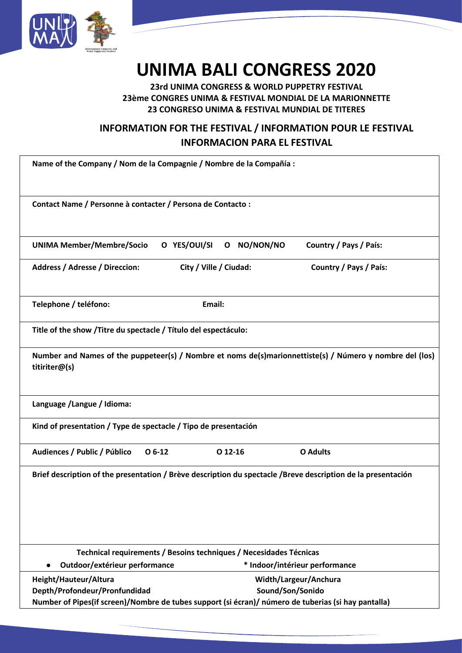

## **UNIMA BALI CONGRESS 2020**

**23rd UNIMA CONGRESS & WORLD PUPPETRY FESTIVAL 23ème CONGRES UNIMA & FESTIVAL MONDIAL DE LA MARIONNETTE 23 CONGRESO UNIMA & FESTIVAL MUNDIAL DE TITERES**

## **INFORMATION FOR THE FESTIVAL / INFORMATION POUR LE FESTIVAL INFORMACION PARA EL FESTIVAL**

| Name of the Company / Nom de la Compagnie / Nombre de la Compañía :                                          |                        |                       |                                                                                                          |  |
|--------------------------------------------------------------------------------------------------------------|------------------------|-----------------------|----------------------------------------------------------------------------------------------------------|--|
| Contact Name / Personne à contacter / Persona de Contacto :                                                  |                        |                       |                                                                                                          |  |
| <b>UNIMA Member/Membre/Socio</b>                                                                             | O YES/OUI/SI           | O NO/NON/NO           | Country / Pays / País:                                                                                   |  |
| <b>Address / Adresse / Direccion:</b>                                                                        | City / Ville / Ciudad: |                       | Country / Pays / País:                                                                                   |  |
| Telephone / teléfono:                                                                                        | Email:                 |                       |                                                                                                          |  |
| Title of the show / Titre du spectacle / Título del espectáculo:                                             |                        |                       |                                                                                                          |  |
| titiriter@(s)                                                                                                |                        |                       | Number and Names of the puppeteer(s) / Nombre et noms de(s)marionnettiste(s) / Número y nombre del (los) |  |
| Language / Langue / Idioma:                                                                                  |                        |                       |                                                                                                          |  |
| Kind of presentation / Type de spectacle / Tipo de presentación                                              |                        |                       |                                                                                                          |  |
| $O6-12$<br>Audiences / Public / Público                                                                      | $O$ 12-16              |                       | <b>O</b> Adults                                                                                          |  |
| Brief description of the presentation / Brève description du spectacle /Breve description de la presentación |                        |                       |                                                                                                          |  |
| Technical requirements / Besoins techniques / Necesidades Técnicas                                           |                        |                       |                                                                                                          |  |
| Outdoor/extérieur performance                                                                                |                        |                       | * Indoor/intérieur performance                                                                           |  |
| Height/Hauteur/Altura                                                                                        |                        | Width/Largeur/Anchura |                                                                                                          |  |
| Depth/Profondeur/Pronfundidad                                                                                |                        | Sound/Son/Sonido      |                                                                                                          |  |
| Number of Pipes(if screen)/Nombre de tubes support (si écran)/ número de tuberias (si hay pantalla)          |                        |                       |                                                                                                          |  |